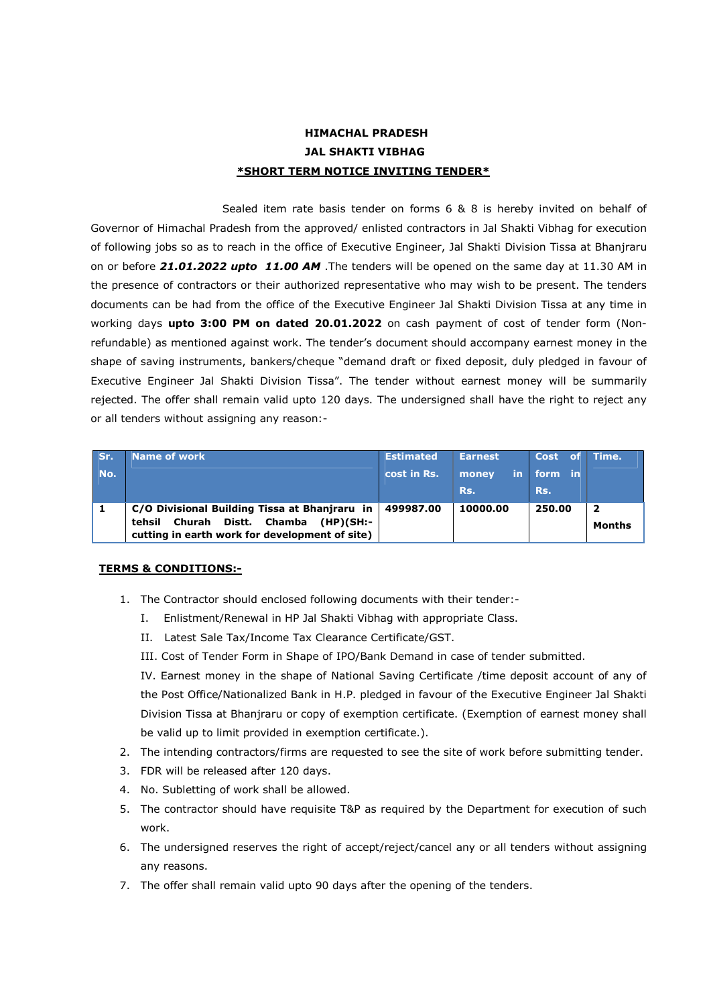# HIMACHAL PRADESH JAL SHAKTI VIBHAG \*SHORT TERM NOTICE INVITING TENDER\*

Sealed item rate basis tender on forms 6 & 8 is hereby invited on behalf of Governor of Himachal Pradesh from the approved/ enlisted contractors in Jal Shakti Vibhag for execution of following jobs so as to reach in the office of Executive Engineer, Jal Shakti Division Tissa at Bhanjraru on or before 21.01.2022 upto 11.00 AM . The tenders will be opened on the same day at 11.30 AM in the presence of contractors or their authorized representative who may wish to be present. The tenders documents can be had from the office of the Executive Engineer Jal Shakti Division Tissa at any time in working days upto 3:00 PM on dated 20.01.2022 on cash payment of cost of tender form (Nonrefundable) as mentioned against work. The tender's document should accompany earnest money in the shape of saving instruments, bankers/cheque "demand draft or fixed deposit, duly pledged in favour of Executive Engineer Jal Shakti Division Tissa". The tender without earnest money will be summarily rejected. The offer shall remain valid upto 120 days. The undersigned shall have the right to reject any or all tenders without assigning any reason:-

| Sr. | <b>Name of work</b>                                                                     | <b>Estimated</b> | <b>Earnest</b> | Cost of    | Time.                   |
|-----|-----------------------------------------------------------------------------------------|------------------|----------------|------------|-------------------------|
| No. |                                                                                         | cost in Rs.      | money          | in form in |                         |
|     |                                                                                         |                  | Rs.            | Rs.        |                         |
|     | C/O Divisional Building Tissa at Bhanjraru in   499987.00                               |                  | 10000.00       | 250.00     | $\overline{\mathbf{2}}$ |
|     | tehsil Churah Distt. Chamba (HP)(SH:-<br>cutting in earth work for development of site) |                  |                |            | Months                  |

## TERMS & CONDITIONS:-

- 1. The Contractor should enclosed following documents with their tender:-
	- I. Enlistment/Renewal in HP Jal Shakti Vibhag with appropriate Class.
	- II. Latest Sale Tax/Income Tax Clearance Certificate/GST.
	- III. Cost of Tender Form in Shape of IPO/Bank Demand in case of tender submitted.

IV. Earnest money in the shape of National Saving Certificate /time deposit account of any of the Post Office/Nationalized Bank in H.P. pledged in favour of the Executive Engineer Jal Shakti Division Tissa at Bhanjraru or copy of exemption certificate. (Exemption of earnest money shall be valid up to limit provided in exemption certificate.).

- 2. The intending contractors/firms are requested to see the site of work before submitting tender.
- 3. FDR will be released after 120 days.
- 4. No. Subletting of work shall be allowed.
- 5. The contractor should have requisite T&P as required by the Department for execution of such work.
- 6. The undersigned reserves the right of accept/reject/cancel any or all tenders without assigning any reasons.
- 7. The offer shall remain valid upto 90 days after the opening of the tenders.